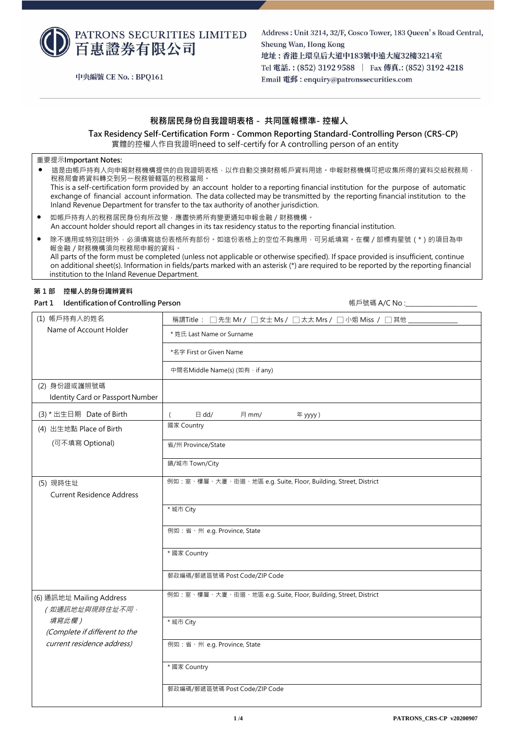

中央編號 CE No.: BPQ161

Address: Unit 3214, 32/F, Cosco Tower, 183 Queen's Road Central, Sheung Wan, Hong Kong 地址:香港上環皇后大道中183號中遠大廈32樓3214室 Tel 電話.: (852) 3192 9588 | Fax 傳真.: (852) 3192 4218 Email 電郵: enquiry@patronssecurities.com

## **稅務居民身份自我證明表格 - 共同匯報標準- 控權人**

 **Tax Residency Self-Certification Form - Common Reporting Standard-Controlling Person (CRS-CP)** 實體的控權人作自我證明need to self-certify for A controlling person of an entity

#### 重要提示**Important Notes:**

● 這是由帳戶持有人向申報財務機構提供的自我證明表格,以作自動交換財務帳戶資料用途。申報財務機構可把收集所得的資料交給稅務局, 稅務局會將資料轉交到另一稅務管轄區的稅務當局。 This is a self-certification form provided by an account holder to a reporting financial institution for the purpose of automatic exchange of financial account information. The data collected may be transmitted by the reporting financial institution to the Inland Revenue Department for transfer to the tax authority of another jurisdiction.

- 如帳戶持有人的稅務居民身份有所改變,應盡快將所有變更通知申報金融 / 財務機構。 An account holder should report all changes in its tax residency status to the reporting financial institution.
- 除不適用或特別註明外,必須填寫這份表格所有部份。如這份表格上的空位不夠應用,可另紙填寫。在欄 / 部標有星號 ( \* ) 的項目為申 報金融/財務機構須向稅務局申報的資料。 All parts of the form must be completed (unless not applicable or otherwise specified). If space provided is insufficient, continue on additional sheet(s). Information in fields/parts marked with an asterisk (\*) are required to be reported by the reporting financial institution to the Inland Revenue Department.

#### **第 1 部 控權人的身份識辨資料**

**Part 1 Identificationof Controlling Person** 

帳戶號碼 A/C No:

| (1) 帳戶持有人的姓名                                     | 稱謂Title : □先生 Mr / □女士 Ms / □太太 Mrs / □小姐 Miss / □其他           |  |  |
|--------------------------------------------------|----------------------------------------------------------------|--|--|
| Name of Account Holder                           | * 姓氏 Last Name or Surname                                      |  |  |
|                                                  | *名字 First or Given Name                                        |  |  |
|                                                  | 中間名Middle Name(s) (如有, if any)                                 |  |  |
| (2) 身份證或護照號碼<br>Identity Card or Passport Number |                                                                |  |  |
| (3) * 出生日期 Date of Birth                         | $\boxminus$ dd/<br>月 mm/<br>年 yyyy)                            |  |  |
| (4) 出生地點 Place of Birth                          | 國家 Country                                                     |  |  |
| (可不填寫 Optional)                                  | 省/州 Province/State                                             |  |  |
|                                                  | 鎮/城市 Town/City                                                 |  |  |
| (5) 現時住址<br><b>Current Residence Address</b>     | 例如:室、樓層、大廈、街道、地區 e.g. Suite, Floor, Building, Street, District |  |  |
|                                                  | * 城市 City                                                      |  |  |
|                                                  | 例如:省、州 e.g. Province, State                                    |  |  |
|                                                  | * 國家 Country                                                   |  |  |
|                                                  | 郵政編碼/郵遞區號碼 Post Code/ZIP Code                                  |  |  |
| (6) 通訊地址 Mailing Address<br>(如通訊地址與現時住址不同,       | 例如:室、樓層、大廈、街道、地區 e.g. Suite, Floor, Building, Street, District |  |  |
| 填寫此欄)<br>(Complete if different to the           | * 城市 City                                                      |  |  |
| current residence address)                       | 例如:省、州 e.g. Province, State                                    |  |  |
|                                                  | * 國家 Country                                                   |  |  |
|                                                  | 郵政編碼/郵遞區號碼 Post Code/ZIP Code                                  |  |  |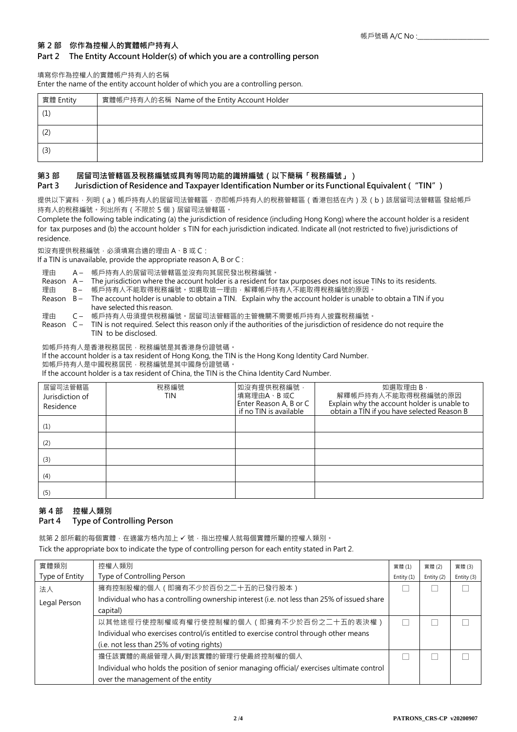## **第 2 部 你作為控權人的實體帳户持有人**

#### **Part 2 The Entity Account Holder(s) of which you are a controlling person**

#### 填寫你作為控權人的實體帳户持有人的名稱

Enter the name of the entity account holder of which you are a controlling person.

| 實體 Entity | 實體帳户持有人的名稱 Name of the Entity Account Holder |  |
|-----------|----------------------------------------------|--|
| (1)       |                                              |  |
| (2)       |                                              |  |
| (3)       |                                              |  |

## **第3 部 居留司法管轄區及稅務編號或具有等同功能的識辨編號(以下簡稱「稅務編號」)**

### **Part 3 Jurisdiction of Residence and Taxpayer Identification Number or its Functional Equivalent ("TIN")**

提供以下資料,列明 (a )帳戶持有人的居留司法管轄區,亦即帳戶持有人的稅務管轄區 (香港包括在內 )及 (b )該居留司法管轄區 發給帳戶 持有人的稅務編號。列出所有(不限於 5 個)居留司法管轄區。

Complete the following table indicating (a) the jurisdiction of residence (including Hong Kong) where the account holder is a resident for tax purposes and (b) the account holder's TIN for each jurisdiction indicated. Indicate all (not restricted to five) jurisdictions of residence.

如沒有提供稅務編號,必須填寫合適的理由 A、B 或 C:

If a TIN is unavailable, provide the appropriate reason A, B or C :

理由 A – 帳戶持有人的居留司法管轄區並沒有向其居民發出稅務編號。

Reason A – The jurisdiction where the account holder is a resident for tax purposes does not issue TINs to its residents.

- 理由 B- 帳戶持有人不能取得稅務編號。如選取這一理由,解釋帳戶持有人不能取得稅務編號的原因。
- Reason B The account holder is unable to obtain a TIN. Explain why the account holder is unable to obtain a TIN if you have selected this reason.
- 理由 C- 帳戶持有人毋須提供稅務編號·居留司法管轄區的主管機關不需要帳戶持有人披露稅務編號·
- Reason C TIN is not required. Select this reason only if the authorities of the jurisdiction of residence do not require the TIN to be disclosed.

如帳戶持有人是香港稅務居民,稅務編號是其香港身份證號碼。

If the account holder is a tax resident of Hong Kong, the TIN is the Hong Kong Identity Card Number.

如帳戶持有人是中國稅務居民,稅務編號是其中國身份證號碼。

If the account holder is a tax resident of China, the TIN is the China Identity Card Number.

| 居留司法管轄區<br>Jurisdiction of<br>Residence | 稅務編號<br>TIN | 如沒有提供稅務編號,<br>填寫理由A、B或C<br>Enter Reason A, B or C<br>if no TIN is available | 如選取理由 B,<br>解釋帳戶持有人不能取得稅務編號的原因<br>Explain why the account holder is unable to<br>obtain a TIN if you have selected Reason B |
|-----------------------------------------|-------------|-----------------------------------------------------------------------------|-----------------------------------------------------------------------------------------------------------------------------|
| (1)                                     |             |                                                                             |                                                                                                                             |
| (2)                                     |             |                                                                             |                                                                                                                             |
| (3)                                     |             |                                                                             |                                                                                                                             |
| (4)                                     |             |                                                                             |                                                                                                                             |
| (5)                                     |             |                                                                             |                                                                                                                             |

# **第 4 部 控權人類別**

## **Part 4 Type of Controlling Person**

就第 2 部所載的每個實體, 在適當方格內加上 ✔ 號, 指出控權人就每個實體所屬的控權人類別。

Tick the appropriate box to indicate the type of controlling person for each entity stated in Part 2.

| 實體類別           | 控權人類別                                                                                       | 實體(1)        | 實體(2)      | 實體(3)      |
|----------------|---------------------------------------------------------------------------------------------|--------------|------------|------------|
| Type of Entity | Type of Controlling Person                                                                  | Entity $(1)$ | Entity (2) | Entity (3) |
| 法人             | 擁有控制股權的個人 ( 即擁有不少於百份之二十五的已發行股本 )                                                            |              |            |            |
| Legal Person   | Individual who has a controlling ownership interest (i.e. not less than 25% of issued share |              |            |            |
|                | capital)                                                                                    |              |            |            |
|                | 以其他途徑行使控制權或有權行使控制權的個人(即擁有不少於百份之ニ十五的表決權)                                                     |              |            |            |
|                | Individual who exercises control/is entitled to exercise control through other means        |              |            |            |
|                | (i.e. not less than 25% of voting rights)                                                   |              |            |            |
|                | 擔任該實體的高級管理人員/對該實體的管理行使最終控制權的個人                                                              |              |            |            |
|                | Individual who holds the position of senior managing official/exercises ultimate control    |              |            |            |
|                | over the management of the entity                                                           |              |            |            |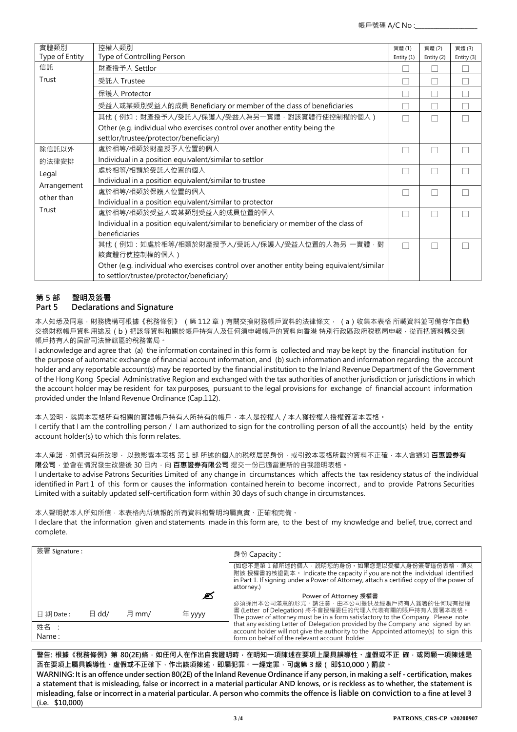| 實體類別<br>Type of Entity | 控權人類別<br>Type of Controlling Person                                                       | 實體(1)<br>Entity (1) | 實體(2)<br>Entity (2) | 實體(3)<br>Entity (3) |
|------------------------|-------------------------------------------------------------------------------------------|---------------------|---------------------|---------------------|
| 信託                     | 財產授予人 Settlor                                                                             |                     |                     |                     |
| Trust                  | 受託人 Trustee                                                                               |                     |                     |                     |
|                        | 保護人 Protector                                                                             |                     |                     |                     |
|                        | 受益人或某類別受益人的成員 Beneficiary or member of the class of beneficiaries                         |                     |                     |                     |
|                        | 其他(例如:財產授予人/受託人/保護人/受益人為另一實體‧對該實體行使控制權的個人)                                                | H                   |                     |                     |
|                        | Other (e.g. individual who exercises control over another entity being the                |                     |                     |                     |
|                        | settlor/trustee/protector/beneficiary)                                                    |                     |                     |                     |
| 除信託以外                  | 處於相等/相類於財產授予人位置的個人                                                                        |                     |                     |                     |
| 的法律安排                  | Individual in a position equivalent/similar to settlor                                    |                     |                     |                     |
| Legal                  | 處於相等/相類於受託人位置的個人                                                                          | H                   |                     |                     |
| Arrangement            | Individual in a position equivalent/similar to trustee                                    |                     |                     |                     |
| other than             | 處於相等/相類於保護人位置的個人                                                                          | H                   |                     |                     |
|                        | Individual in a position equivalent/similar to protector                                  |                     |                     |                     |
| Trust                  | 處於相等/相類於受益人或某類別受益人的成員位置的個人                                                                |                     |                     |                     |
|                        | Individual in a position equivalent/similar to beneficiary or member of the class of      |                     |                     |                     |
|                        | beneficiaries                                                                             |                     |                     |                     |
|                        | 其他(例如:如處於相等/相類於財產授予人/受託人/保護人/受益人位置的人為另 一實體 · 對                                            | ш                   |                     |                     |
|                        | 該實體行使控制權的個人)                                                                              |                     |                     |                     |
|                        | Other (e.g. individual who exercises control over another entity being equivalent/similar |                     |                     |                     |
|                        | to settlor/trustee/protector/beneficiary)                                                 |                     |                     |                     |

## **第 5 部 聲明及簽署 Part 5 Declarations and Signature**

本人知悉及同意 · 財務機構可根據《稅務條例》 (第 112 章)有關交換財務帳戶資料的法律條文 · (a)收集本表格 所載資料並可備存作自動 交換財務帳戶資料用途及 ( b ) 把該等資料和關於帳戶持有人及任何須申報帳戶的資料向香港 特別行政區政府稅務局申報 · 從而把資料轉交到 帳戶持有人的居留司法管轄區的稅務當局。

I acknowledge and agree that (a) the information contained in this form is collected and may be kept by the financial institution for the purpose of automatic exchange of financial account information, and (b) such information and information regarding the account holder and any reportable account(s) may be reported by the financial institution to the Inland Revenue Department of the Government of the Hong Kong Special Administrative Region and exchanged with the tax authorities of another jurisdiction or jurisdictions in which the account holder may be resident for tax purposes, pursuant to the legal provisions for exchange of financial account information provided under the Inland Revenue Ordinance (Cap.112).

本人證明,就與本表格所有相關的實體帳戶持有人所持有的帳戶,本人是控權人 / 本人獲控權人授權簽署本表格。 I certify that I am the controlling person / I am authorized to sign for the controlling person of all the account(s) held by the entity account holder(s) to which this form relates.

本人承諾·如情況有所改變· 以致影響本表格 第 1 部 所述的個人的稅務居民身份·或引致本表格所載的資料不正確·本人會通知 **百惠證券有 限公司** · 並會在情況發生改變後 30 日内 · 向 **百惠證券有限公司** 提交一份已適當更新的自我證明表格 ·

I undertake to advise Patrons Securities Limited of any change in circumstances which affects the tax residency status of the individual identified in Part 1 of this form or causes the information contained herein to become incorrect , and to provide Patrons Securities Limited with a suitably updated self-certification form within 30 days of such change in circumstances.

本人聲明就本人所知所信,本表格內所填報的所有資料和聲明均屬真實、正確和完備。

I declare that the information given and statements made in this form are, to the best of my knowledge and belief, true, correct and complete.

| 簽署 Signature :       |                 |       |        | 身份 Capacity:                                                                                                                                                                                                                         |
|----------------------|-----------------|-------|--------|--------------------------------------------------------------------------------------------------------------------------------------------------------------------------------------------------------------------------------------|
|                      |                 |       |        | (如您不是第 1 部所述的個人,說明您的身份。如果您是以受權人身份簽署這份表格,須夾<br>附該 授權書的核證副本 • Indicate the capacity if you are not the individual identified<br>in Part 1. If signing under a Power of Attorney, attach a certified copy of the power of<br>attorney.) |
|                      |                 |       | Ø      | Power of Attorney 授權書                                                                                                                                                                                                                |
| $\boxminus$ 期 Date : | $\boxminus$ dd/ | 月 mm/ | 年 yyyy | 必須採用本公司滿意的形式。請注意,由本公司提供及經賬戶持有人簽署的任何現有授權<br>書 (Letter of Delegation) 將不會授權委任的代理人代表有關的賬戶持有人簽署本表格。<br>The power of attorney must be in a form satisfactory to the Company. Please note                                                  |
| 姓名 :<br>Name:        |                 |       |        | that any existing Letter of Delegation provided by the Company and signed by an<br>account holder will not give the authority to the Appointed attorney(s) to sign this<br>form on behalf of the relevant account holder.            |

**警告: 根據《稅務條例》第 80(2E)條,如任何人在作出自我證明時,在明知一項陳述在要項上屬具誤導性、虛假或不正 確,或罔顧一項陳述是 否在要項上屬具誤導性、虛假或不正確下,作出該項陳述,即屬犯罪。一經定罪,可處第 3 級( 即\$10,000)罰款。 WARNING: It is an offence under section 80(2E) of the Inland Revenue Ordinance if any person, in making a self - certification, makes a statement that is misleading, false or incorrect in a material particular AND knows, or is reckless as to whether, the statement is misleading, false or incorrect in a material particular. A person who commits the offence is liable on conviction to a fine at level 3 (i.e. \$10,000)**